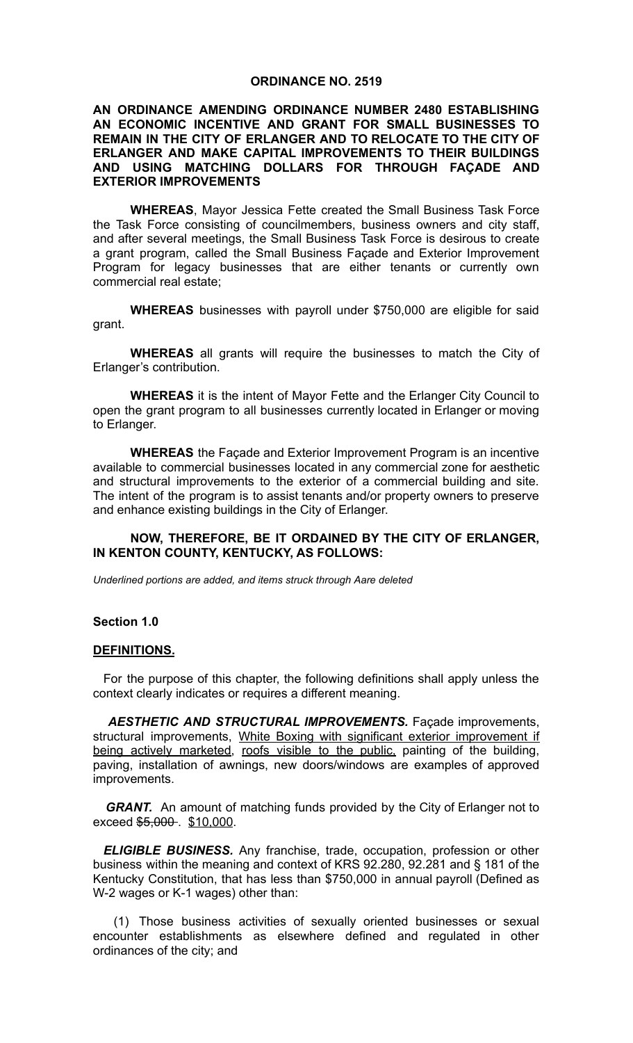#### **ORDINANCE NO. 2519**

#### **AN ORDINANCE AMENDING ORDINANCE NUMBER 2480 ESTABLISHING AN ECONOMIC INCENTIVE AND GRANT FOR SMALL BUSINESSES TO REMAIN IN THE CITY OF ERLANGER AND TO RELOCATE TO THE CITY OF ERLANGER AND MAKE CAPITAL IMPROVEMENTS TO THEIR BUILDINGS AND USING MATCHING DOLLARS FOR THROUGH FAÇADE AND EXTERIOR IMPROVEMENTS**

**WHEREAS**, Mayor Jessica Fette created the Small Business Task Force the Task Force consisting of councilmembers, business owners and city staff, and after several meetings, the Small Business Task Force is desirous to create a grant program, called the Small Business Façade and Exterior Improvement Program for legacy businesses that are either tenants or currently own commercial real estate;

**WHEREAS** businesses with payroll under \$750,000 are eligible for said grant.

**WHEREAS** all grants will require the businesses to match the City of Erlanger's contribution.

**WHEREAS** it is the intent of Mayor Fette and the Erlanger City Council to open the grant program to all businesses currently located in Erlanger or moving to Erlanger.

**WHEREAS** the Façade and Exterior Improvement Program is an incentive available to commercial businesses located in any commercial zone for aesthetic and structural improvements to the exterior of a commercial building and site. The intent of the program is to assist tenants and/or property owners to preserve and enhance existing buildings in the City of Erlanger.

### **NOW, THEREFORE, BE IT ORDAINED BY THE CITY OF ERLANGER, IN KENTON COUNTY, KENTUCKY, AS FOLLOWS:**

*Underlined portions are added, and items struck through Aare deleted*

#### **Section 1.0**

#### **DEFINITIONS.**

For the purpose of this chapter, the following definitions shall apply unless the context clearly indicates or requires a different meaning.

*AESTHETIC AND STRUCTURAL IMPROVEMENTS.* Façade improvements, structural improvements, White Boxing with significant exterior improvement if being actively marketed, roofs visible to the public, painting of the building, paving, installation of awnings, new doors/windows are examples of approved improvements.

**GRANT.** An amount of matching funds provided by the City of Erlanger not to exceed \$5,000 . \$10,000.

*ELIGIBLE BUSINESS.* Any franchise, trade, occupation, profession or other business within the meaning and context of KRS 92.280, 92.281 and § 181 of the Kentucky Constitution, that has less than \$750,000 in annual payroll (Defined as W-2 wages or K-1 wages) other than:

(1) Those business activities of sexually oriented businesses or sexual encounter establishments as elsewhere defined and regulated in other ordinances of the city; and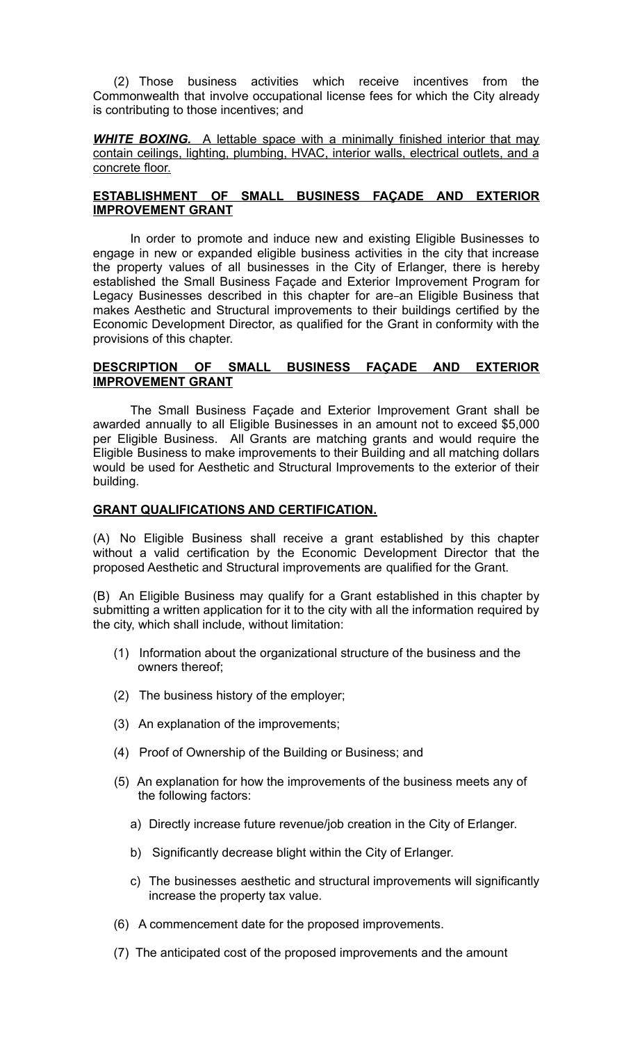(2) Those business activities which receive incentives from the Commonwealth that involve occupational license fees for which the City already is contributing to those incentives; and

*WHITE BOXING.* A lettable space with a minimally finished interior that may contain ceilings, lighting, plumbing, HVAC, interior walls, electrical outlets, and a concrete floor.

# **ESTABLISHMENT OF SMALL BUSINESS FAÇADE AND EXTERIOR IMPROVEMENT GRANT**

In order to promote and induce new and existing Eligible Businesses to engage in new or expanded eligible business activities in the city that increase the property values of all businesses in the City of Erlanger, there is hereby established the Small Business Façade and Exterior Improvement Program for Legacy Businesses described in this chapter for are-an Eligible Business that makes Aesthetic and Structural improvements to their buildings certified by the Economic Development Director, as qualified for the Grant in conformity with the provisions of this chapter.

### **DESCRIPTION OF SMALL BUSINESS FAÇADE AND EXTERIOR IMPROVEMENT GRANT**

The Small Business Façade and Exterior Improvement Grant shall be awarded annually to all Eligible Businesses in an amount not to exceed \$5,000 per Eligible Business. All Grants are matching grants and would require the Eligible Business to make improvements to their Building and all matching dollars would be used for Aesthetic and Structural Improvements to the exterior of their building.

### **GRANT QUALIFICATIONS AND CERTIFICATION.**

(A) No Eligible Business shall receive a grant established by this chapter without a valid certification by the Economic Development Director that the proposed Aesthetic and Structural improvements are qualified for the Grant.

(B) An Eligible Business may qualify for a Grant established in this chapter by submitting a written application for it to the city with all the information required by the city, which shall include, without limitation:

- (1) Information about the organizational structure of the business and the owners thereof;
- (2) The business history of the employer;
- (3) An explanation of the improvements;
- (4) Proof of Ownership of the Building or Business; and
- (5) An explanation for how the improvements of the business meets any of the following factors:
	- a) Directly increase future revenue/job creation in the City of Erlanger.
	- b) Significantly decrease blight within the City of Erlanger.
	- c) The businesses aesthetic and structural improvements will significantly increase the property tax value.
- (6) A commencement date for the proposed improvements.
- (7) The anticipated cost of the proposed improvements and the amount